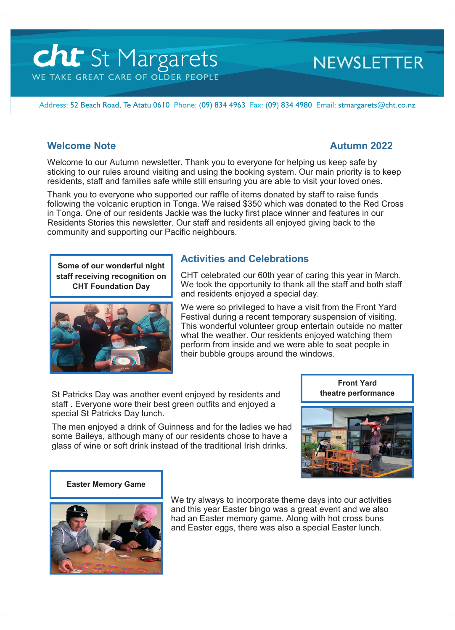# **Cht** St Margarets WE TAKE GREAT CARE OF OLDER PEOPLE

# **NEWSLETTER**

Address: 52 Beach Road, Te Atatu 0610 Phone: (09) 834 4963 Fax: (09) 834 4980 Email: stmargarets@cht.co.nz

#### **Welcome Note Autumn 2022**

Welcome to our Autumn newsletter. Thank you to everyone for helping us keep safe by sticking to our rules around visiting and using the booking system. Our main priority is to keep residents, staff and families safe while still ensuring you are able to visit your loved ones.

Thank you to everyone who supported our raffle of items donated by staff to raise funds following the volcanic eruption in Tonga. We raised \$350 which was donated to the Red Cross in Tonga. One of our residents Jackie was the lucky first place winner and features in our Residents Stories this newsletter. Our staff and residents all enjoyed giving back to the community and supporting our Pacific neighbours.

**Some of our wonderful night staff receiving recognition on CHT Foundation Day**



# **Activities and Celebrations**

CHT celebrated our 60th year of caring this year in March. We took the opportunity to thank all the staff and both staff and residents enjoyed a special day.

We were so privileged to have a visit from the Front Yard Festival during a recent temporary suspension of visiting. This wonderful volunteer group entertain outside no matter what the weather. Our residents enjoyed watching them perform from inside and we were able to seat people in their bubble groups around the windows.

St Patricks Day was another event enjoyed by residents and staff . Everyone wore their best green outfits and enjoyed a special St Patricks Day lunch.

The men enjoyed a drink of Guinness and for the ladies we had some Baileys, although many of our residents chose to have a glass of wine or soft drink instead of the traditional Irish drinks.



#### **Easter Memory Game**



We try always to incorporate theme days into our activities and this year Easter bingo was a great event and we also had an Easter memory game. Along with hot cross buns and Easter eggs, there was also a special Easter lunch.